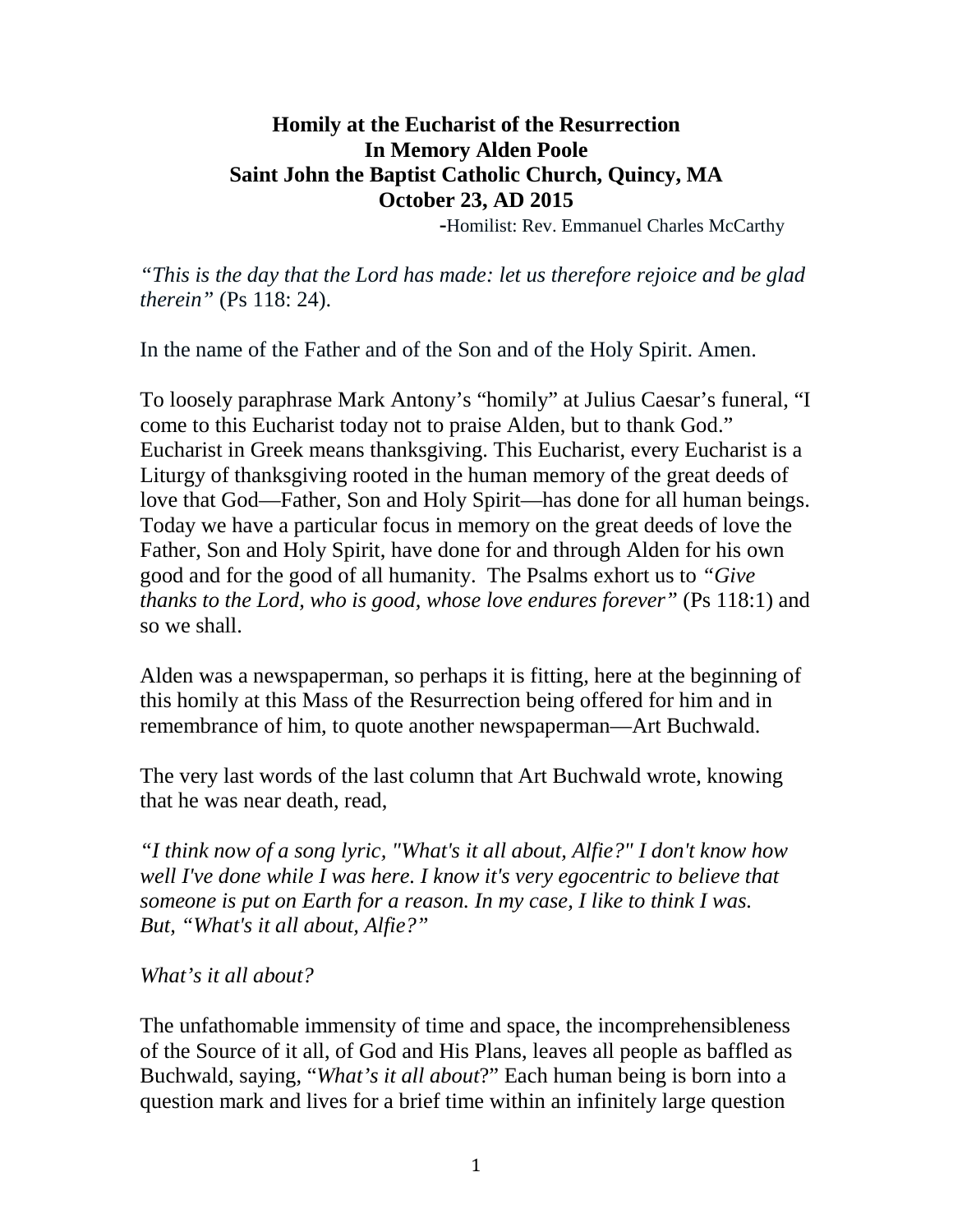## **Homily at the Eucharist of the Resurrection In Memory Alden Poole Saint John the Baptist Catholic Church, Quincy, MA October 23, AD 2015**

 **-**Homilist: Rev. Emmanuel Charles McCarthy

*"This is the day that the Lord has made: let us therefore rejoice and be glad therein"* (Ps 118: 24).

In the name of the Father and of the Son and of the Holy Spirit. Amen.

To loosely paraphrase Mark Antony's "homily" at Julius Caesar's funeral, "I come to this Eucharist today not to praise Alden, but to thank God." Eucharist in Greek means thanksgiving. This Eucharist, every Eucharist is a Liturgy of thanksgiving rooted in the human memory of the great deeds of love that God—Father, Son and Holy Spirit—has done for all human beings. Today we have a particular focus in memory on the great deeds of love the Father, Son and Holy Spirit, have done for and through Alden for his own good and for the good of all humanity. The Psalms exhort us to *"Give thanks to the Lord, who is good, whose love endures forever"* (Ps 118:1) and so we shall.

Alden was a newspaperman, so perhaps it is fitting, here at the beginning of this homily at this Mass of the Resurrection being offered for him and in remembrance of him, to quote another newspaperman—Art Buchwald.

The very last words of the last column that Art Buchwald wrote, knowing that he was near death, read,

*"I think now of a song lyric, "What's it all about, Alfie?" I don't know how well I've done while I was here. I know it's very egocentric to believe that someone is put on Earth for a reason. In my case, I like to think I was. But, "What's it all about, Alfie?"*

*What's it all about?*

The unfathomable immensity of time and space, the incomprehensibleness of the Source of it all, of God and His Plans, leaves all people as baffled as Buchwald, saying, "*What's it all about*?" Each human being is born into a question mark and lives for a brief time within an infinitely large question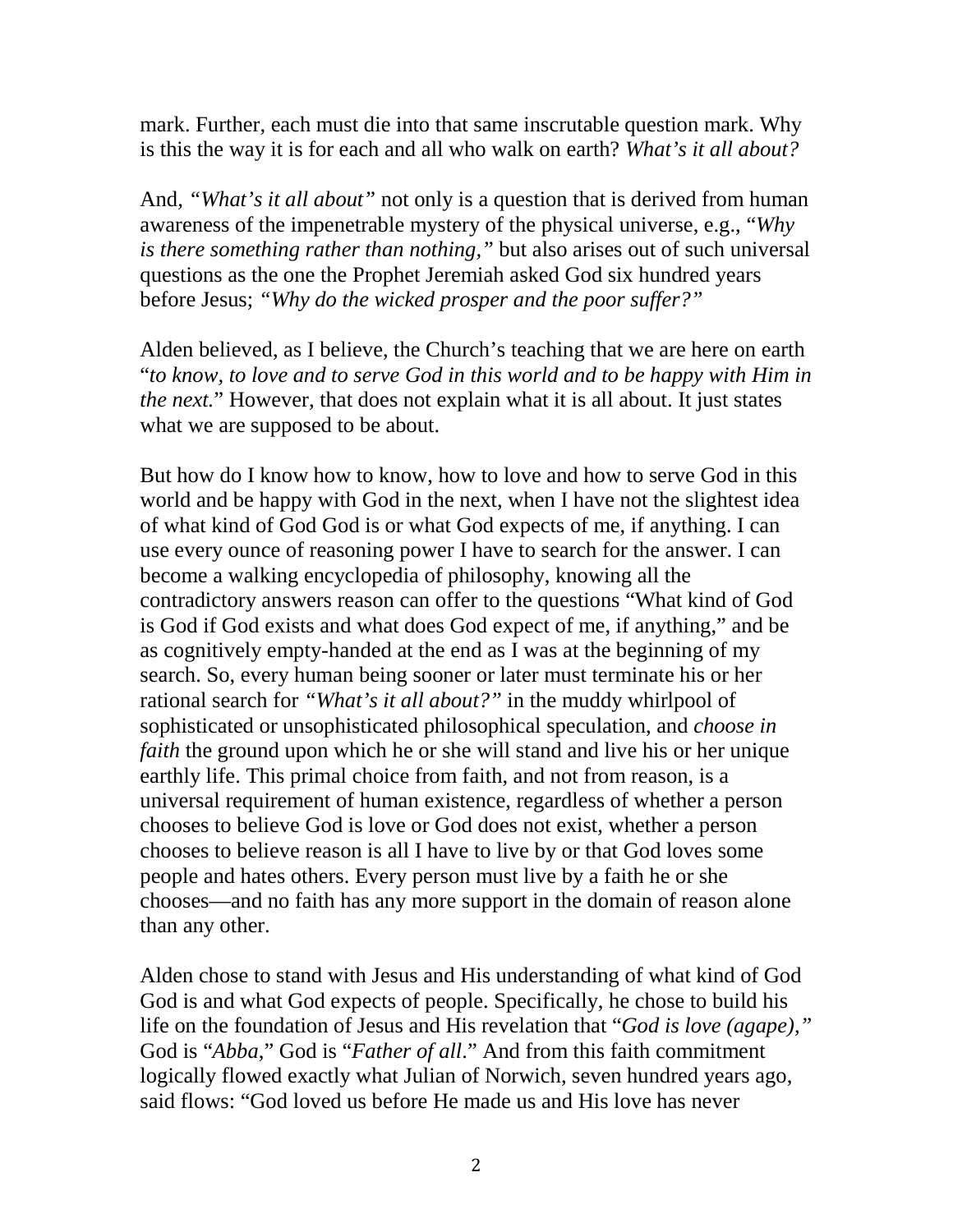mark. Further, each must die into that same inscrutable question mark. Why is this the way it is for each and all who walk on earth? *What's it all about?*

And*, "What's it all about"* not only is a question that is derived from human awareness of the impenetrable mystery of the physical universe, e.g., "*Why is there something rather than nothing,"* but also arises out of such universal questions as the one the Prophet Jeremiah asked God six hundred years before Jesus; *"Why do the wicked prosper and the poor suffer?"*

Alden believed, as I believe, the Church's teaching that we are here on earth "*to know, to love and to serve God in this world and to be happy with Him in the next.*" However, that does not explain what it is all about. It just states what we are supposed to be about.

But how do I know how to know, how to love and how to serve God in this world and be happy with God in the next, when I have not the slightest idea of what kind of God God is or what God expects of me, if anything. I can use every ounce of reasoning power I have to search for the answer. I can become a walking encyclopedia of philosophy, knowing all the contradictory answers reason can offer to the questions "What kind of God is God if God exists and what does God expect of me, if anything," and be as cognitively empty-handed at the end as I was at the beginning of my search. So, every human being sooner or later must terminate his or her rational search for *"What's it all about?"* in the muddy whirlpool of sophisticated or unsophisticated philosophical speculation, and *choose in faith* the ground upon which he or she will stand and live his or her unique earthly life. This primal choice from faith, and not from reason, is a universal requirement of human existence, regardless of whether a person chooses to believe God is love or God does not exist, whether a person chooses to believe reason is all I have to live by or that God loves some people and hates others. Every person must live by a faith he or she chooses—and no faith has any more support in the domain of reason alone than any other.

Alden chose to stand with Jesus and His understanding of what kind of God God is and what God expects of people. Specifically, he chose to build his life on the foundation of Jesus and His revelation that "*God is love (agape),"* God is "*Abba*," God is "*Father of all*." And from this faith commitment logically flowed exactly what Julian of Norwich, seven hundred years ago, said flows: "God loved us before He made us and His love has never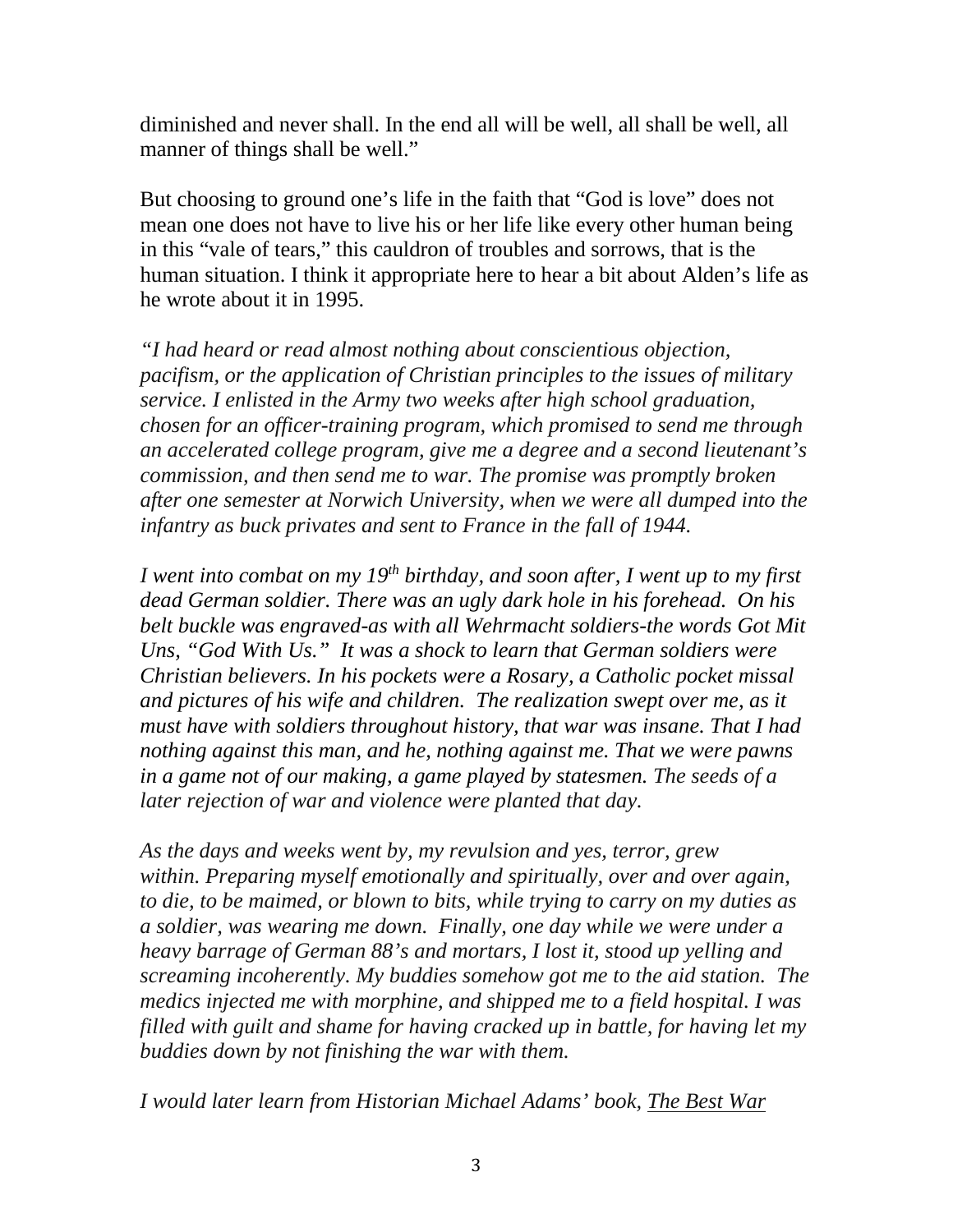diminished and never shall. In the end all will be well, all shall be well, all manner of things shall be well."

But choosing to ground one's life in the faith that "God is love" does not mean one does not have to live his or her life like every other human being in this "vale of tears," this cauldron of troubles and sorrows, that is the human situation. I think it appropriate here to hear a bit about Alden's life as he wrote about it in 1995.

*"I had heard or read almost nothing about conscientious objection, pacifism, or the application of Christian principles to the issues of military service. I enlisted in the Army two weeks after high school graduation, chosen for an officer-training program, which promised to send me through an accelerated college program, give me a degree and a second lieutenant's commission, and then send me to war. The promise was promptly broken after one semester at Norwich University, when we were all dumped into the infantry as buck privates and sent to France in the fall of 1944.*

*I went into combat on my 19th birthday, and soon after, I went up to my first dead German soldier. There was an ugly dark hole in his forehead. On his belt buckle was engraved-as with all Wehrmacht soldiers-the words Got Mit Uns, "God With Us." It was a shock to learn that German soldiers were Christian believers. In his pockets were a Rosary, a Catholic pocket missal and pictures of his wife and children. The realization swept over me, as it must have with soldiers throughout history, that war was insane. That I had nothing against this man, and he, nothing against me. That we were pawns in a game not of our making, a game played by statesmen. The seeds of a later rejection of war and violence were planted that day.*

*As the days and weeks went by, my revulsion and yes, terror, grew within. Preparing myself emotionally and spiritually, over and over again, to die, to be maimed, or blown to bits, while trying to carry on my duties as a soldier, was wearing me down. Finally, one day while we were under a heavy barrage of German 88's and mortars, I lost it, stood up yelling and screaming incoherently. My buddies somehow got me to the aid station. The medics injected me with morphine, and shipped me to a field hospital. I was filled with guilt and shame for having cracked up in battle, for having let my buddies down by not finishing the war with them.*

*I would later learn from Historian Michael Adams' book, The Best War*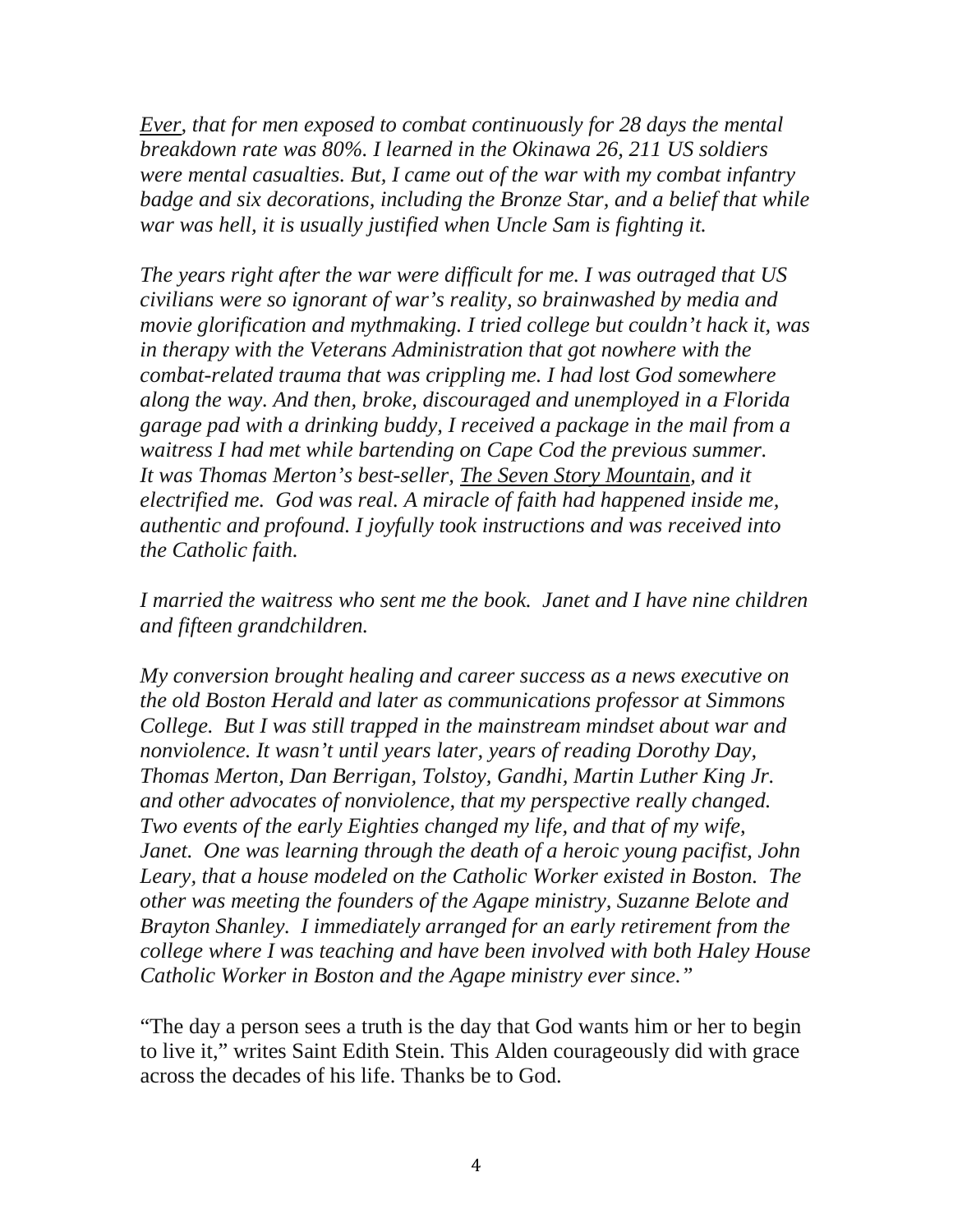*Ever, that for men exposed to combat continuously for 28 days the mental breakdown rate was 80%. I learned in the Okinawa 26, 211 US soldiers were mental casualties. But, I came out of the war with my combat infantry badge and six decorations, including the Bronze Star, and a belief that while war was hell, it is usually justified when Uncle Sam is fighting it.*

*The years right after the war were difficult for me. I was outraged that US civilians were so ignorant of war's reality, so brainwashed by media and movie glorification and mythmaking. I tried college but couldn't hack it, was in therapy with the Veterans Administration that got nowhere with the combat-related trauma that was crippling me. I had lost God somewhere along the way. And then, broke, discouraged and unemployed in a Florida garage pad with a drinking buddy, I received a package in the mail from a waitress I had met while bartending on Cape Cod the previous summer. It was Thomas Merton's best-seller, The Seven Story Mountain, and it electrified me. God was real. A miracle of faith had happened inside me, authentic and profound. I joyfully took instructions and was received into the Catholic faith.*

*I married the waitress who sent me the book. Janet and I have nine children and fifteen grandchildren.*

*My conversion brought healing and career success as a news executive on the old Boston Herald and later as communications professor at Simmons College. But I was still trapped in the mainstream mindset about war and nonviolence. It wasn't until years later, years of reading Dorothy Day, Thomas Merton, Dan Berrigan, Tolstoy, Gandhi, Martin Luther King Jr. and other advocates of nonviolence, that my perspective really changed. Two events of the early Eighties changed my life, and that of my wife, Janet. One was learning through the death of a heroic young pacifist, John Leary, that a house modeled on the Catholic Worker existed in Boston. The other was meeting the founders of the Agape ministry, Suzanne Belote and Brayton Shanley. I immediately arranged for an early retirement from the college where I was teaching and have been involved with both Haley House Catholic Worker in Boston and the Agape ministry ever since."*

"The day a person sees a truth is the day that God wants him or her to begin to live it," writes Saint Edith Stein. This Alden courageously did with grace across the decades of his life. Thanks be to God.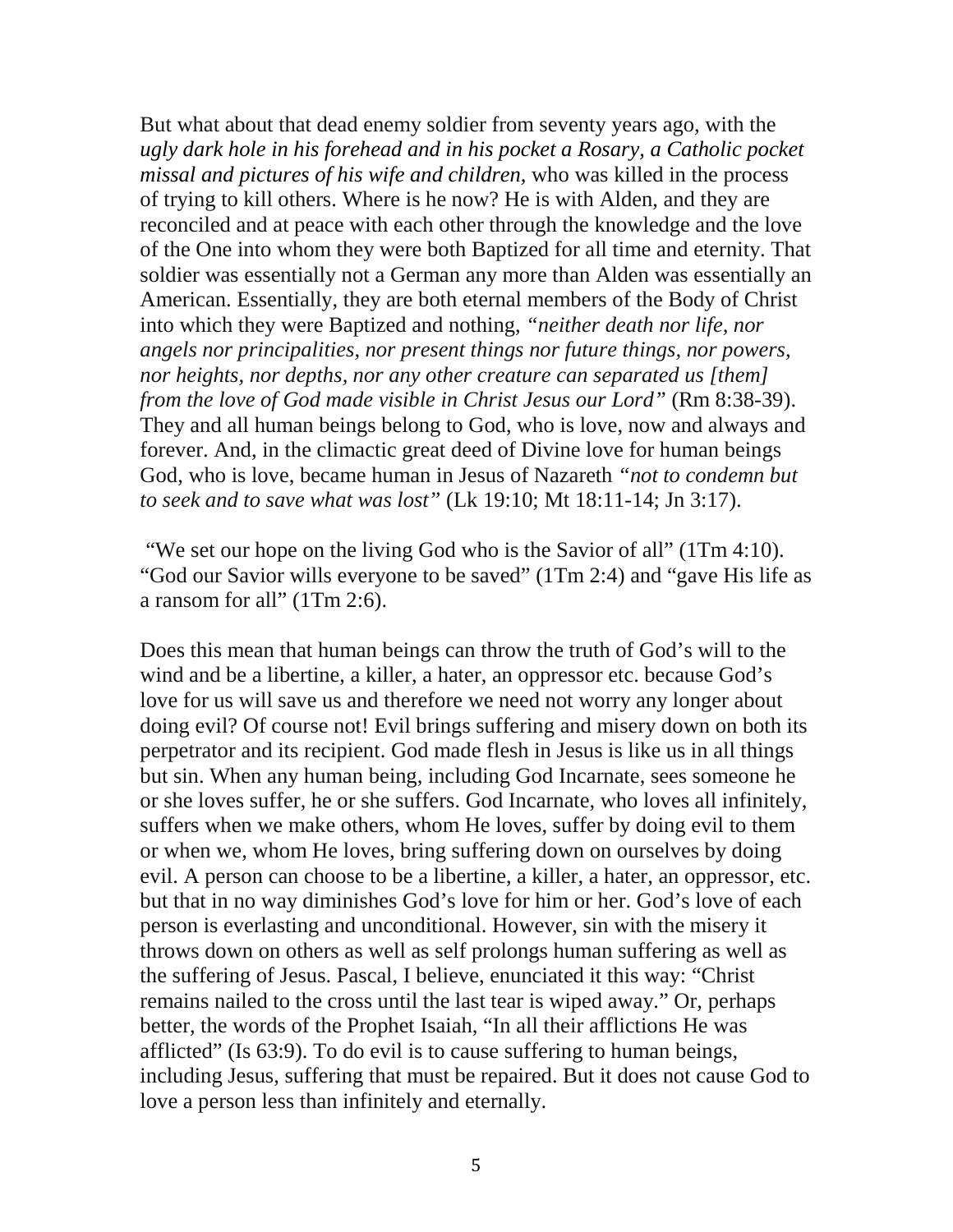But what about that dead enemy soldier from seventy years ago, with the *ugly dark hole in his forehead and in his pocket a Rosary, a Catholic pocket missal and pictures of his wife and children,* who was killed in the process of trying to kill others. Where is he now? He is with Alden, and they are reconciled and at peace with each other through the knowledge and the love of the One into whom they were both Baptized for all time and eternity. That soldier was essentially not a German any more than Alden was essentially an American. Essentially, they are both eternal members of the Body of Christ into which they were Baptized and nothing, *"neither death nor life, nor angels nor principalities, nor present things nor future things, nor powers, nor heights, nor depths, nor any other creature can separated us [them] from the love of God made visible in Christ Jesus our Lord"* (Rm 8:38-39). They and all human beings belong to God, who is love, now and always and forever. And, in the climactic great deed of Divine love for human beings God, who is love, became human in Jesus of Nazareth *"not to condemn but to seek and to save what was lost"* (Lk 19:10; Mt 18:11-14; Jn 3:17).

"We set our hope on the living God who is the Savior of all" (1Tm 4:10). "God our Savior wills everyone to be saved" (1Tm 2:4) and "gave His life as a ransom for all" (1Tm 2:6).

Does this mean that human beings can throw the truth of God's will to the wind and be a libertine, a killer, a hater, an oppressor etc. because God's love for us will save us and therefore we need not worry any longer about doing evil? Of course not! Evil brings suffering and misery down on both its perpetrator and its recipient. God made flesh in Jesus is like us in all things but sin. When any human being, including God Incarnate, sees someone he or she loves suffer, he or she suffers. God Incarnate, who loves all infinitely, suffers when we make others, whom He loves, suffer by doing evil to them or when we, whom He loves, bring suffering down on ourselves by doing evil. A person can choose to be a libertine, a killer, a hater, an oppressor, etc. but that in no way diminishes God's love for him or her. God's love of each person is everlasting and unconditional. However, sin with the misery it throws down on others as well as self prolongs human suffering as well as the suffering of Jesus. Pascal, I believe, enunciated it this way: "Christ remains nailed to the cross until the last tear is wiped away." Or, perhaps better, the words of the Prophet Isaiah, "In all their afflictions He was afflicted" (Is 63:9). To do evil is to cause suffering to human beings, including Jesus, suffering that must be repaired. But it does not cause God to love a person less than infinitely and eternally.